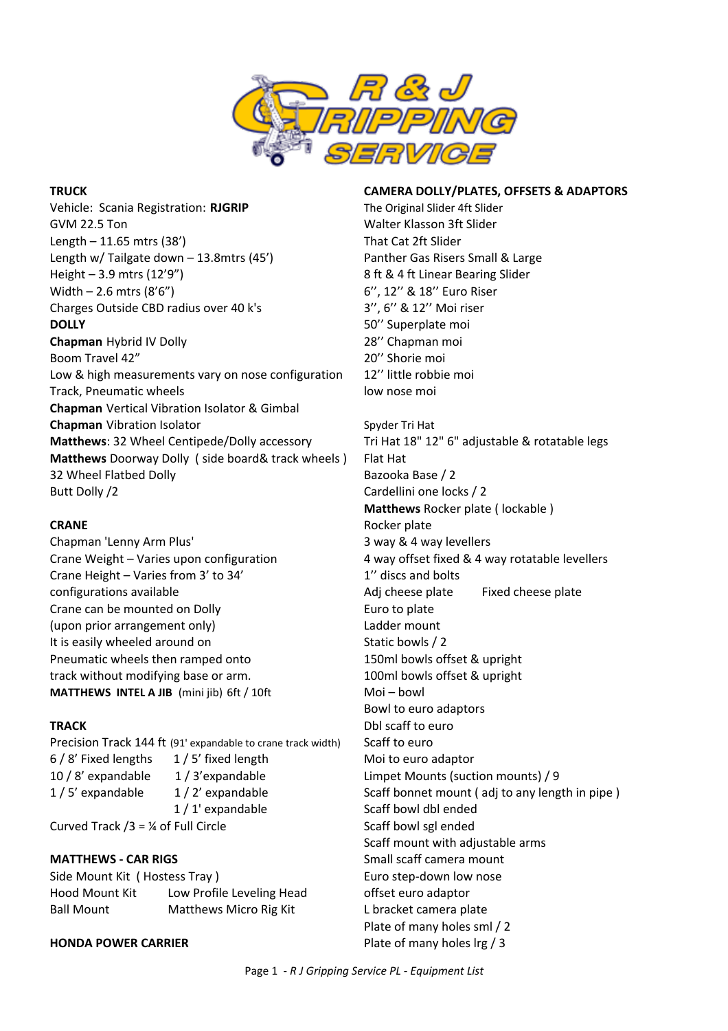

Vehicle: Scania Registration: RJGRIP The Original Slider 4ft Slider GVM 22.5 Ton Superintendent Studies and Walter Klasson 3ft Slider Length – 11.65 mtrs (38') That Cat 2ft Slider Length w/ Tailgate down - 13.8mtrs (45') Panther Gas Risers Small & Large Height – 3.9 mtrs (12'9") 8 ft & 4 ft Linear Bearing Slider Width  $- 2.6$  mtrs  $(8'6'')$  6'', 12'' & 18'' Euro Riser Charges Outside CBD radius over 40 k's 3'', 6" & 12" Moi riser **DOLLY** 50" Superplate moi **Chapman** Hybrid IV Dolly 28" Chapman moi Boom Travel 42" and the state of the state of the 20" Shorie moi Low & high measurements vary on nose configuration 12" little robbie moi Track, Pneumatic wheels and the low nose moi **Chapman** Vertical Vibration Isolator & Gimbal **Chapman** Vibration Isolator Spyder Tri Hat **Matthews**: 32 Wheel Centipede/Dolly accessory Tri Hat 18" 12" 6" adjustable & rotatable legs **Matthews** Doorway Dolly ( side board& track wheels ) Flat Hat 32 Wheel Flatbed Dolly Bazooka Base / 2 Butt Dolly /2 Cardellini one locks / 2

Chapman 'Lenny Arm Plus' 3 way & 4 way levellers Crane Height – Varies from 3' to 34' 1" discs and bolts configurations available and the Adj cheese plate Adj cheese plate Fixed cheese plate Crane can be mounted on Dolly entity of the can be mounted on Dolly (upon prior arrangement only) example the control of the control of the control of the control of the control of the control of the control of the control of the control of the control of the control of the control of the It is easily wheeled around on Static bowls / 2 Pneumatic wheels then ramped onto 150ml bowls offset & upright track without modifying base or arm. The model of the model of the two models of the two models of the two models of the two models of the two models of the two models of two models of two models of two models of two model **MATTHEWS INTEL A JIB** (mini jib) 6ft / 10ft Moi – bowl

Precision Track 144 ft (91' expandable to crane track width) Scaff to euro 6 / 8' Fixed lengths 1 / 5' fixed length Moi to euro adaptor 10 / 8' expandable  $1/3$ ' expandable Limpet Mounts (suction mounts) / 9 1/ 5' expandable  $\frac{1}{2}$ ' expandable  $\frac{1}{2}$ ' expandable Scaff bonnet mount (adj to any length in pipe) 1 / 1' expandable Scaff bowl dbl ended Curved Track  $/3 = \frac{1}{4}$  of Full Circle Scaff bowl sgl ended

Side Mount Kit (Hostess Tray) The State of Euro step-down low nose Hood Mount Kit Low Profile Leveling Head offset euro adaptor Ball Mount Matthews Micro Rig Kit Libracket camera plate

# **HONDA POWER CARRIER Plate of many holes lrg / 3**

# **TRUCK CAMERA DOLLY/PLATES, OFFSETS & ADAPTORS**

**Matthews** Rocker plate ( lockable ) **CRANE** Rocker plate Crane Weight – Varies upon configuration 4 way offset fixed & 4 way rotatable levellers Bowl to euro adaptors **TRACK** Dbl scaff to euro Scaff mount with adjustable arms **MATTHEWS - CAR RIGS** SMALL Small scaff camera mount Plate of many holes sml / 2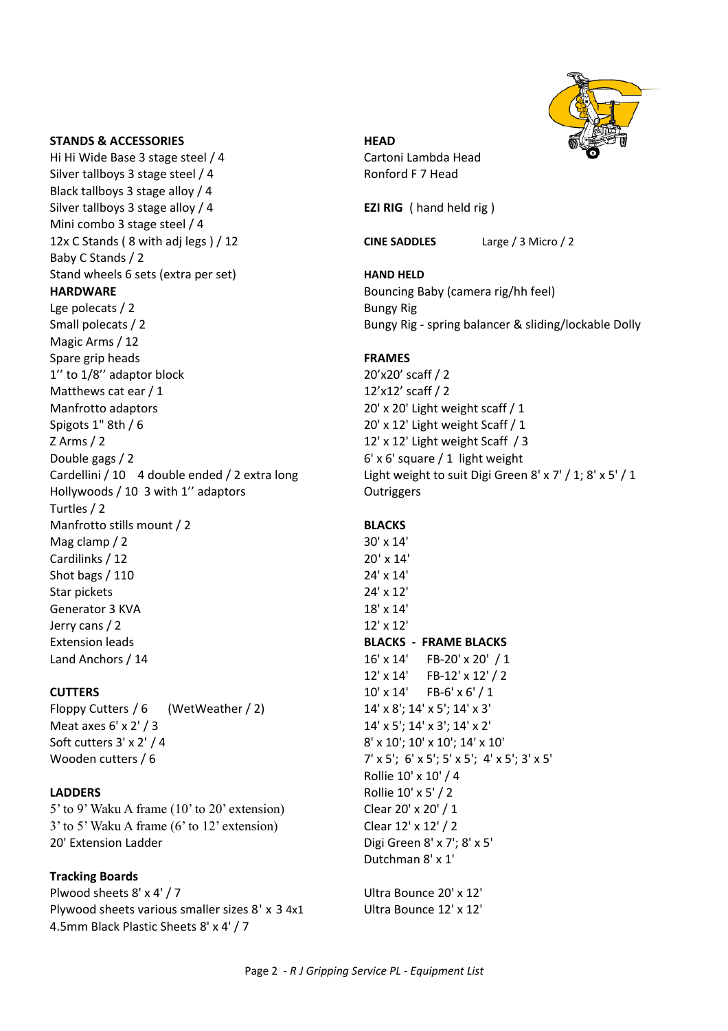

# **STANDS & ACCESSORIES HEAD**

Hi Hi Wide Base 3 stage steel / 4 Cartoni Lambda Head Silver tallboys 3 stage steel / 4 Ronford F 7 Head Black tallboys 3 stage alloy / 4 Silver tallboys 3 stage alloy / 4 **EZI RIG** ( hand held rig ) Mini combo 3 stage steel / 4 12x C Stands ( 8 with adj legs ) / 12 **CINE SADDLES** Large / 3 Micro / 2 Baby C Stands / 2 Stand wheels 6 sets (extra per set) **HAND HELD HARDWARE** Bouncing Baby (camera rig/hh feel) Lge polecats / 2 Bungy Rig Magic Arms / 12 Spare grip heads **FRAMES**  $1''$  to  $1/8''$  adaptor block 20'x20' scaff  $/2$ Matthews cat ear  $/1$  12'x12' scaff  $/2$ Manfrotto adaptors 20' x 20' Light weight scaff / 1 Spigots 1" 8th / 6 20' x 12' Light weight Scaff / 1 Z Arms / 2 12' x 12' Light weight Scaff / 3 Double gags / 2 and the set of the set of the set of the set of the set of the set of the set of the set of the set of the set of the set of the set of the set of the set of the set of the set of the set of the set of the Cardellini / 10 4 double ended / 2 extra long Hollywoods / 10 3 with 1" adaptors **Dutriggers** Turtles / 2 Manfrotto stills mount / 2 **BLACKS** Mag clamp  $/ 2$  30' x 14' Cardilinks  $/12$  20' x 14' Shot bags / 110 24' x 14' Star pickets 24' x 12' Generator 3 KVA 18' x 14'  $J$ erry cans  $/$  2 12' **Extension leads BLACKS** - **FRAME BLACKS** Land Anchors / 14  $16' \times 14'$  FB-20'  $\times 20'$  / 1

Floppy Cutters  $/ 6$  (WetWeather  $/ 2$ ) 14' x 8'; 14' x 5'; 14' x 3' Meat axes  $6' \times 2' / 3$  14' x 5';  $14' \times 5'$ ;  $14' \times 3'$ ;  $14' \times 2'$ Soft cutters  $3' \times 2' / 4$  8' x  $10'$ ;  $10' \times 10'$ ;  $14' \times 10'$ Wooden cutters / 6  $7' \times 5'$ ;  $6' \times 5'$ ;  $5' \times 5'$ ;  $4' \times 5'$ ;  $3' \times 5'$ 

 $5'$  to 9' Waku A frame (10' to 20' extension) Clear 20' x 20' / 1  $3'$  to 5' Waku A frame (6' to 12' extension) Clear  $12' \times 12' / 2$ 20' Extension Ladder Digi Green 8' x 7'; 8' x 5'

# **Tracking Boards**

Plwood sheets  $8' \times 4' / 7$  Ultra Bounce  $20' \times 12'$ Plywood sheets various smaller sizes  $8' \times 3.4 \times 1$  Ultra Bounce  $12' \times 12'$ 4.5mm Black Plastic Sheets 8' x 4' / 7

Small polecats / 2 **Bungy** Rig - spring balancer & sliding/lockable Dolly

Light weight to suit Digi Green 8' x 7' / 1; 8' x 5' / 1

 $12' \times 14'$  FB-12'  $\times 12' / 2$ **CUTTERS** 10' x 14' FB-6' x 6' / 1 Rollie 10' x 10' / 4 **LADDERS** Rollie 10' x 5' / 2 Dutchman 8' x 1'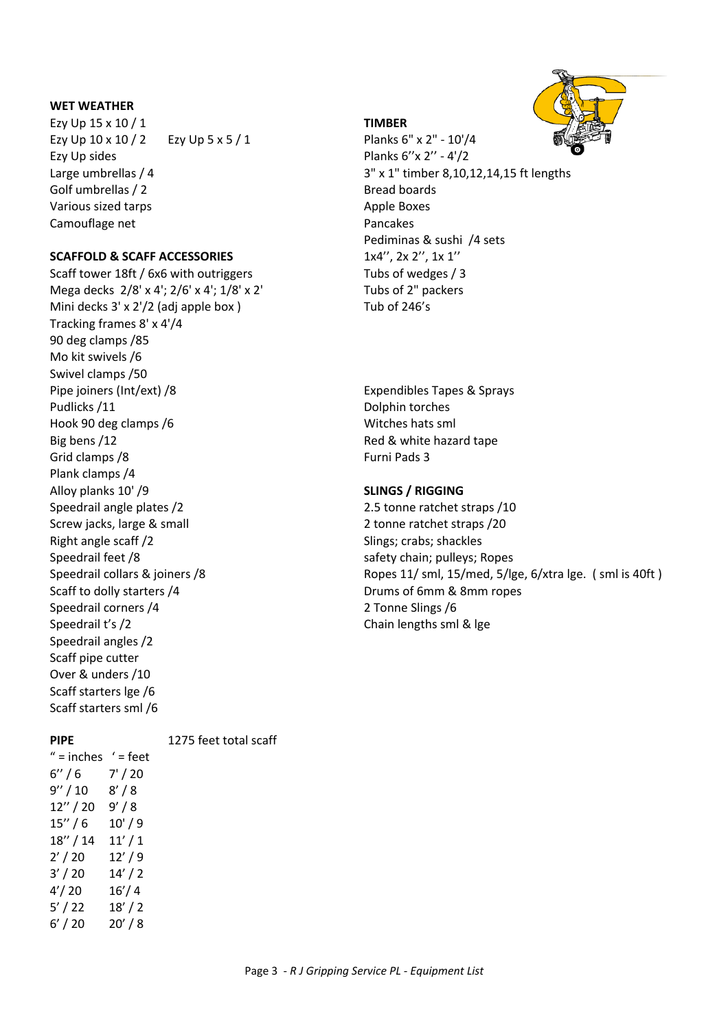## **WET WEATHER**

Ezy Up 15 x 10 / 1 **TIMBER** Ezy Up  $10 \times 10 / 2$  Ezy Up  $5 \times 5 / 1$  Planks  $6'' \times 2'' - 10' / 4$ Ezy Up sides Planks  $6''x 2'' - 4'/2$ Golf umbrellas / 2 Bread boards Various sized tarps **Apple Boxes** Apple Boxes Camouflage net example and pancakes and pancakes

# **SCAFFOLD & SCAFF ACCESSORIES** 1x4", 2x 2", 1x 1"

Scaff tower 18ft / 6x6 with outriggers Tubs of wedges / 3 Mega decks  $2/8' \times 4'$ ;  $2/6' \times 4'$ ;  $1/8' \times 2'$  Tubs of 2" packers Mini decks  $3' \times 2'/2$  (adj apple box ) Tub of 246's Tracking frames 8' x 4'/4 90 deg clamps /85 Mo kit swivels /6 Swivel clamps /50 Pipe joiners (Int/ext) /8 and the state of the state of the state of the state of the state of the state of the state of the state of the state of the state of the state of the state of the state of the state of the state Pudlicks /11 Dolphin torches Hook 90 deg clamps /6 Witches hats sml Big bens /12 **Red** & white hazard tape Grid clamps /8 Furni Pads 3 Plank clamps /4 Alloy planks 10' /9 **SLINGS / RIGGING** Speedrail angle plates /2 2.5 tonne ratchet straps /10 Screw jacks, large & small 2 tonne ratchet straps /20 Right angle scaff /2 Slings; crabs; shackles Speedrail feet /8 safety chain; pulleys; Ropes Scaff to dolly starters /4 Drums of 6mm & 8mm ropes Speedrail corners /4 2 Tonne Slings /6 Speedrail t's /2 Chain lengths sml & lge Speedrail angles /2 Scaff pipe cutter Over & unders /10 Scaff starters Ige /6 Scaff starters sml /6

Large umbrellas  $/$  4  $/$  3"  $\times$  1" timber 8,10,12,14,15 ft lengths Pediminas & sushi /4 sets

Speedrail collars & joiners /8 and the state of the Ropes 11/ sml, 15/med, 5/lge, 6/xtra lge. (sml is 40ft)

**PIPE** 1275 feet total scaff

| $"$ = inches $'$ = feet |
|-------------------------|
| 7' / 20                 |
| 8'/8                    |
| 9' / 8                  |
| 10'/9                   |
| 11'/1                   |
| 12'/9                   |
| 14'/2                   |
| 16'/4                   |
| 18'/2                   |
| 20'/8                   |
|                         |